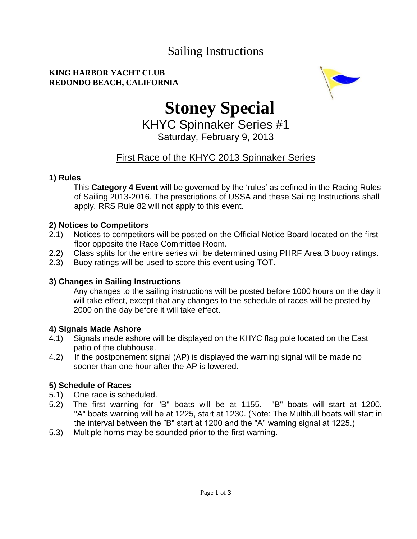# Sailing Instructions

#### **KING HARBOR YACHT CLUB REDONDO BEACH, CALIFORNIA**



# **Stoney Special**

KHYC Spinnaker Series #1 Saturday, February 9, 2013

# First Race of the KHYC 2013 Spinnaker Series

#### **1) Rules**

This **Category 4 Event** will be governed by the 'rules' as defined in the Racing Rules of Sailing 2013-2016. The prescriptions of USSA and these Sailing Instructions shall apply. RRS Rule 82 will not apply to this event.

## **2) Notices to Competitors**

- 2.1) Notices to competitors will be posted on the Official Notice Board located on the first floor opposite the Race Committee Room.
- 2.2) Class splits for the entire series will be determined using PHRF Area B buoy ratings.
- 2.3) Buoy ratings will be used to score this event using TOT.

## **3) Changes in Sailing Instructions**

Any changes to the sailing instructions will be posted before 1000 hours on the day it will take effect, except that any changes to the schedule of races will be posted by 2000 on the day before it will take effect.

#### **4) Signals Made Ashore**

- 4.1) Signals made ashore will be displayed on the KHYC flag pole located on the East patio of the clubhouse.
- 4.2) If the postponement signal (AP) is displayed the warning signal will be made no sooner than one hour after the AP is lowered.

## **5) Schedule of Races**

- 5.1) One race is scheduled.
- 5.2) The first warning for "B" boats will be at 1155. "B" boats will start at 1200. "A" boats warning will be at 1225, start at 1230. (Note: The Multihull boats will start in the interval between the "B" start at 1200 and the "A" warning signal at 1225.)
- 5.3) Multiple horns may be sounded prior to the first warning.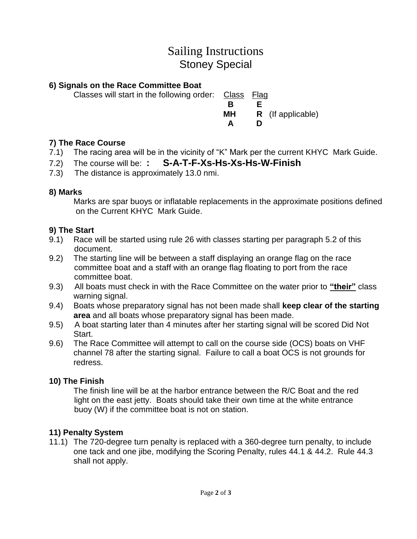# Sailing Instructions Stoney Special

## **6) Signals on the Race Committee Boat**

Classes will start in the following order: Class Flag

**B** B **E MH R** (If applicable) **A D**

# **7) The Race Course**

- 7.1) The racing area will be in the vicinity of "K" Mark per the current KHYC Mark Guide.
- 7.2) The course will be: **: S-A-T-F-Xs-Hs-Xs-Hs-W-Finish**
- 7.3) The distance is approximately 13.0 nmi.

## **8) Marks**

Marks are spar buoys or inflatable replacements in the approximate positions defined on the Current KHYC Mark Guide.

## **9) The Start**

- 9.1) Race will be started using rule 26 with classes starting per paragraph 5.2 of this document.
- 9.2) The starting line will be between a staff displaying an orange flag on the race committee boat and a staff with an orange flag floating to port from the race committee boat.
- 9.3) All boats must check in with the Race Committee on the water prior to **"their"** class warning signal.
- 9.4) Boats whose preparatory signal has not been made shall **keep clear of the starting area** and all boats whose preparatory signal has been made.
- 9.5) A boat starting later than 4 minutes after her starting signal will be scored Did Not Start.
- 9.6) The Race Committee will attempt to call on the course side (OCS) boats on VHF channel 78 after the starting signal. Failure to call a boat OCS is not grounds for redress.

# **10) The Finish**

The finish line will be at the harbor entrance between the R/C Boat and the red light on the east jetty. Boats should take their own time at the white entrance buoy (W) if the committee boat is not on station.

# **11) Penalty System**

11.1) The 720-degree turn penalty is replaced with a 360-degree turn penalty, to include one tack and one jibe, modifying the Scoring Penalty, rules 44.1 & 44.2. Rule 44.3 shall not apply.